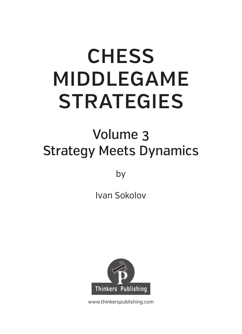# **CHESS** MIDDLEGAME STRATEGIES  $\frac{1}{2}$

# v<br>Meets D Strategy Meets Dynamics

 $\overline{\phantom{a}}$ 

Ivan Sokolov



www.thinkerspublishing.com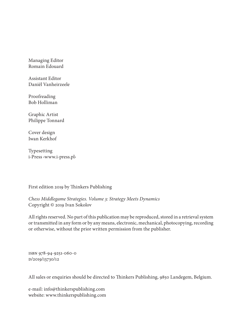Managing Editor Romain Edouard

Assistant Editor Daniël Vanheirzeele

Proofreading Bob Holliman

Graphic Artist Philippe Tonnard

Cover design Iwan Kerkhof

Typesetting i-Press ‹www.i-press.pl›

First edition 2019 by Thinkers Publishing

*Chess Middlegame Strategies. Volume 3: Strategy Meets Dynamics* Copyright © 2019 Ivan Sokolov

All rights reserved. No part of this publication may be reproduced, stored in a retrieval system or transmitted in any form or by any means, electronic, mechanical, photocopying, recording or otherwise, without the prior written permission from the publisher.

ISBN 978-94-9251-060-0 D/2019/13730/12

All sales or enquiries should be directed to Thinkers Publishing, 9850 Landegem, Belgium.

e-mail: info@thinkerspublishing.com website: www.thinkerspublishing.com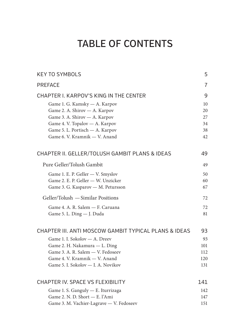| <b>PREFACE</b><br>CHAPTER I. KARPOV'S KING IN THE CENTER<br>Game 1. G. Kamsky - A. Karpov<br>Game 2. A. Shirov - A. Karpov<br>Game 3. A. Shirov - A. Karpov<br>Game 4. V. Topalov - A. Karpov<br>Game 5. L. Portisch - A. Karpov<br>Game 6. V. Kramnik - V. Anand<br>CHAPTER II. GELLER/TOLUSH GAMBIT PLANS & IDEAS<br>Pure Geller/Tolush Gambit<br>Game 1. E. P. Geller - V. Smyslov<br>Game 2. E. P. Geller - W. Unzicker<br>Game 3. G. Kasparov - M. Petursson<br>Geller/Tolush - Similar Positions<br>Game 4. A. R. Salem - F. Caruana<br>Game 5. L. Ding - J. Duda<br>CHAPTER III, ANTI MOSCOW GAMBIT TYPICAL PLANS & IDEAS<br>Game 1. I. Sokolov - A. Dreev<br>Game 2. H. Nakamura - L. Ding<br>Game 3. A. R. Salem - V. Fedoseev<br>Game 4. V. Kramnik - V. Anand<br>Game 5. I. Sokolov - I. A. Novikov<br>CHAPTER IV. SPACE VS FLEXIBILITY | <b>KEY TO SYMBOLS</b>              | 5              |
|----------------------------------------------------------------------------------------------------------------------------------------------------------------------------------------------------------------------------------------------------------------------------------------------------------------------------------------------------------------------------------------------------------------------------------------------------------------------------------------------------------------------------------------------------------------------------------------------------------------------------------------------------------------------------------------------------------------------------------------------------------------------------------------------------------------------------------------------------|------------------------------------|----------------|
|                                                                                                                                                                                                                                                                                                                                                                                                                                                                                                                                                                                                                                                                                                                                                                                                                                                    |                                    | $\overline{7}$ |
|                                                                                                                                                                                                                                                                                                                                                                                                                                                                                                                                                                                                                                                                                                                                                                                                                                                    |                                    | 9              |
|                                                                                                                                                                                                                                                                                                                                                                                                                                                                                                                                                                                                                                                                                                                                                                                                                                                    |                                    | 10             |
|                                                                                                                                                                                                                                                                                                                                                                                                                                                                                                                                                                                                                                                                                                                                                                                                                                                    |                                    | 20             |
|                                                                                                                                                                                                                                                                                                                                                                                                                                                                                                                                                                                                                                                                                                                                                                                                                                                    |                                    | 27             |
|                                                                                                                                                                                                                                                                                                                                                                                                                                                                                                                                                                                                                                                                                                                                                                                                                                                    |                                    | 34             |
|                                                                                                                                                                                                                                                                                                                                                                                                                                                                                                                                                                                                                                                                                                                                                                                                                                                    |                                    | 38             |
|                                                                                                                                                                                                                                                                                                                                                                                                                                                                                                                                                                                                                                                                                                                                                                                                                                                    |                                    | 42             |
|                                                                                                                                                                                                                                                                                                                                                                                                                                                                                                                                                                                                                                                                                                                                                                                                                                                    |                                    | 49             |
|                                                                                                                                                                                                                                                                                                                                                                                                                                                                                                                                                                                                                                                                                                                                                                                                                                                    |                                    | 49             |
|                                                                                                                                                                                                                                                                                                                                                                                                                                                                                                                                                                                                                                                                                                                                                                                                                                                    |                                    | 50             |
|                                                                                                                                                                                                                                                                                                                                                                                                                                                                                                                                                                                                                                                                                                                                                                                                                                                    |                                    | 60             |
|                                                                                                                                                                                                                                                                                                                                                                                                                                                                                                                                                                                                                                                                                                                                                                                                                                                    |                                    | 67             |
|                                                                                                                                                                                                                                                                                                                                                                                                                                                                                                                                                                                                                                                                                                                                                                                                                                                    |                                    | 72             |
|                                                                                                                                                                                                                                                                                                                                                                                                                                                                                                                                                                                                                                                                                                                                                                                                                                                    |                                    | 72             |
|                                                                                                                                                                                                                                                                                                                                                                                                                                                                                                                                                                                                                                                                                                                                                                                                                                                    |                                    | 81             |
|                                                                                                                                                                                                                                                                                                                                                                                                                                                                                                                                                                                                                                                                                                                                                                                                                                                    |                                    | 93             |
|                                                                                                                                                                                                                                                                                                                                                                                                                                                                                                                                                                                                                                                                                                                                                                                                                                                    |                                    | 93             |
|                                                                                                                                                                                                                                                                                                                                                                                                                                                                                                                                                                                                                                                                                                                                                                                                                                                    |                                    | 101            |
|                                                                                                                                                                                                                                                                                                                                                                                                                                                                                                                                                                                                                                                                                                                                                                                                                                                    |                                    | 112            |
|                                                                                                                                                                                                                                                                                                                                                                                                                                                                                                                                                                                                                                                                                                                                                                                                                                                    |                                    | 120            |
|                                                                                                                                                                                                                                                                                                                                                                                                                                                                                                                                                                                                                                                                                                                                                                                                                                                    |                                    | 131            |
|                                                                                                                                                                                                                                                                                                                                                                                                                                                                                                                                                                                                                                                                                                                                                                                                                                                    |                                    | 141            |
|                                                                                                                                                                                                                                                                                                                                                                                                                                                                                                                                                                                                                                                                                                                                                                                                                                                    | Game 1. S. Ganguly - E. Iturrizaga | 142            |
| Game 2. N. D. Short - E. l'Ami                                                                                                                                                                                                                                                                                                                                                                                                                                                                                                                                                                                                                                                                                                                                                                                                                     |                                    | 147            |
| Game 3. M. Vachier-Lagrave - V. Fedoseev                                                                                                                                                                                                                                                                                                                                                                                                                                                                                                                                                                                                                                                                                                                                                                                                           |                                    | 151            |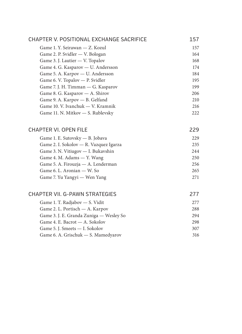| CHAPTER V. POSITIONAL EXCHANGE SACRIFICE | 157 |
|------------------------------------------|-----|
| Game 1. Y. Seirawan — Z. Kozul           | 157 |
| Game 2. P. Svidler - V. Bologan          | 164 |
| Game 3. J. Lautier - V. Topalov          | 168 |
| Game 4. G. Kasparov - U. Andersson       | 174 |
| Game 5. A. Karpov - U. Andersson         | 184 |
| Game 6. V. Topalov - P. Svidler          | 195 |
| Game 7. J. H. Timman - G. Kasparov       | 199 |
| Game 8. G. Kasparov - A. Shirov          | 206 |
| Game 9. A. Karpov - B. Gelfand           | 210 |
| Game 10. V. Ivanchuk - V. Kramnik        | 216 |
| Game 11. N. Mitkov - S. Rublevsky        | 222 |
|                                          |     |
| <b>CHAPTER VI. OPEN FILE</b>             | 229 |
| Game 1. E. Sutovsky - B. Jobava          | 229 |
| Game 2. I. Sokolov — R. Vazquez Igarza   | 235 |
| Game 3. N. Vitiugov - I. Bukavshin       | 244 |
| Game 4. M. Adams - Y. Wang               | 250 |
| Game 5. A. Firouzja - A. Lenderman       | 256 |
| Game 6. L. Aronian — W. So               | 265 |
| Game 7. Yu Yangyi — Wen Yang             | 271 |
|                                          |     |
| CHAPTER VII. G-PAWN STRATEGIES           | 277 |
| Game 1. T. Radjabov - S. Vidit           | 277 |
| Game 2. L. Portisch - A. Karpov          | 288 |
| Game 3. J. E. Granda Zuniga - Wesley So  | 294 |
| Game 4. E. Bacrot — A. Sokolov           | 298 |
| Game 5. J. Smeets - I. Sokolov           | 307 |
| Game 6. A. Grischuk - S. Mamedyarov      | 316 |
|                                          |     |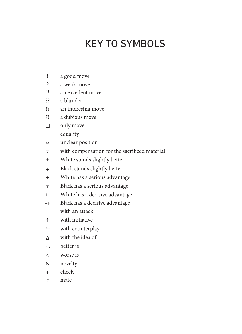## **KFY TO SYMBOLS**

- ! a good move
- ? a weak move
- !! an excellent move
- ?? a blunder
- !? an interesing move
- ?! a dubious move
- $\Box$  only move
- = equality
- unclear position
- with compensation for the sacrifi ced material
- $\pm$  White stands slightly better
- $\overline{\overline{F}}$  Black stands slightly better
- White has a serious advantage
- $\mp$  Black has a serious advantage
- +- White has a decisive advantage
- -+ Black has a decisive advantage
- $\rightarrow$  with an attack
- $\uparrow$  with initiative
- $\leftrightarrows$  with counterplay
- $\Lambda$  with the idea of
- $\cap$  better is
- worse is
- N novelty
- + check
- # mate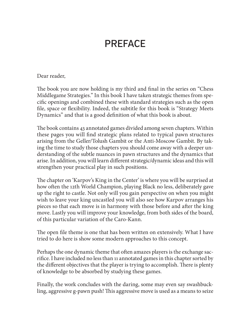## **PRFFACF**

Dear reader,

The book you are now holding is my third and final in the series on "Chess" Middlegame Strategies." In this book I have taken strategic themes from specific openings and combined these with standard strategies such as the open file, space or flexibility. Indeed, the subtitle for this book is "Strategy Meets" Dynamics" and that is a good definition of what this book is about.

The book contains 43 annotated games divided among seven chapters. Within these pages you will find strategic plans related to typical pawn structures arising from the Geller/Tolush Gambit or the Anti-Moscow Gambit. By taking the time to study those chapters you should come away with a deeper understanding of the subtle nuances in pawn structures and the dynamics that arise. In addition, you will learn different strategic/dynamic ideas and this will strengthen your practical play in such positions.

The chapter on 'Karpov's King in the Center' is where you will be surprised at how often the 12th World Champion, playing Black no less, deliberately gave up the right to castle. Not only will you gain perspective on when you might wish to leave your king uncastled you will also see how Karpov arranges his pieces so that each move is in harmony with those before and after the king move. Lastly you will improve your knowledge, from both sides of the board, of this particular variation of the Caro-Kann.

The open file theme is one that has been written on extensively. What I have tried to do here is show some modern approaches to this concept.

Perhaps the one dynamic theme that often amazes players is the exchange sacrifice. I have included no less than 11 annotated games in this chapter sorted by the different objectives that the player is trying to accomplish. There is plenty of knowledge to be absorbed by studying these games.

Finally, the work concludes with the daring, some may even say swashbuckling, aggressive g-pawn push! This aggressive move is used as a means to seize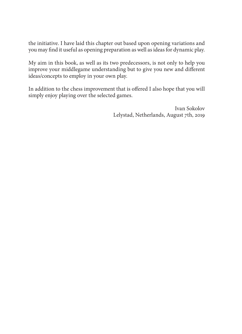the initiative. I have laid this chapter out based upon opening variations and you may find it useful as opening preparation as well as ideas for dynamic play.

My aim in this book, as well as its two predecessors, is not only to help you improve your middlegame understanding but to give you new and different ideas/concepts to employ in your own play.

In addition to the chess improvement that is offered I also hope that you will simply enjoy playing over the selected games.

> Ivan Sokolov Lelystad, Netherlands, August 7th, 2019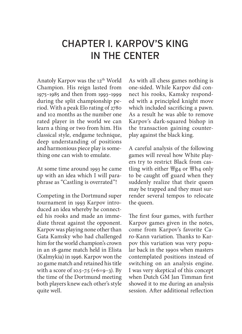## CHAPTER I. KARPOV'S KING IN THE CENTER

Anatoly Karpov was the 12th World Champion. His reign lasted from 1975–1985 and then from 1993–1999 during the split championship period. With a peak Elo rating of 2780 and 102 months as the number one rated player in the world we can learn a thing or two from him. His classical style, endgame technique, deep understanding of positions and harmonious piece play is something one can wish to emulate.

At some time around 1993 he came up with an idea which I will paraphrase as "Castling is overrated"!

Competing in the Dortmund super tournament in 1993 Karpov introduced an idea whereby he connected his rooks and made an immediate threat against the opponent. Karpov was playing none other than Gata Kamsky who had challenged him for the world champion's crown in an 18-game match held in Elista (Kalmykia) in 1996. Karpov won the 20 game match and retained his title with a score of  $10.5 - 7.5$  (+6=9-3). By the time of the Dortmund meeting both players knew each other's style quite well.

As with all chess games nothing is one-sided. While Karpov did connect his rooks, Kamsky responded with a principled knight move which included sacrificing a pawn. As a result he was able to remove Karpov's dark-squared bishop in the transaction gaining counterplay against the black king.

A careful analysis of the following games will reveal how White players try to restrict Black from castling with either  $\frac{36}{4}$  or  $\frac{16}{4}$  only to be caught off guard when they suddenly realize that their queen may be trapped and they must surrender several tempos to relocate the queen.

The first four games, with further Karpov games given in the notes, come from Karpov's favorite Caro-Kann variation. Thanks to Karpov this variation was very popular back in the 1990s when masters contemplated positions instead of switching on an analysis engine. I was very skeptical of this concept when Dutch GM Jan Timman first showed it to me during an analysis session. After additional reflection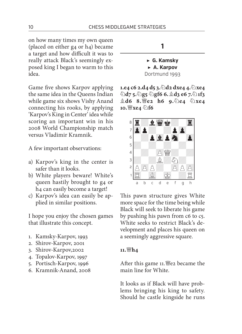on how many times my own queen (placed on either g4 or h4) became a target and how difficult it was to really attack Black's seemingly exposed king I began to warm to this idea.

Game five shows Karpov applying the same idea in the Queens Indian while game six shows Vishy Anand connecting his rooks, by applying 'Karpov's King in Center' idea while scoring an important win in his 2008 World Championship match versus Vladimir Kramnik.

A few important observations:

- a) Karpov's king in the center is safer than it looks.
- b) White players beware! White's queen hastily brought to g4 or h4 can easily become a target!
- c) Karpov's idea can easily be applied in similar positions.

I hope you enjoy the chosen games that illustrate this concept.

- 1. Kamsky-Karpov, 1993
- 2. Shirov-Karpov, 2001
- 3. Shirov-Karpov,2002
- 4. Topalov-Karpov, 1997
- 5. Portisch-Karpov, 1996
- 6. Kramnik-Anand, 2008

**▶ G. Kamsky**

**1**

**▶ A. Karpov**

Dortmund 1993

**1.e4 c6 2.d4 d5 3.d2 dxe4 4.xe4 d7 5.g5 gf6 6.d3 e6 7.1f3 d6 8.e2 h6 9.e4 xe4 10.**  $\mathbb{W}$ **xe4**  $\Diamond$  **f6** 



This pawn structure gives White more space for the time being while Black will seek to liberate his game by pushing his pawn from c6 to c5. White seeks to restrict Black's development and places his queen on a seemingly aggressive square.

#### **11.h4**

After this game 11. fee became the main line for White.

It looks as if Black will have problems bringing his king to safety. Should he castle kingside he runs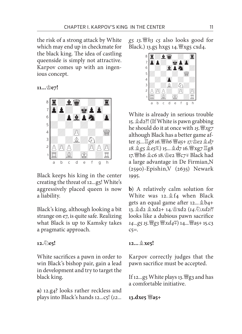the risk of a strong attack by White which may end up in checkmate for the black king. The idea of castling queenside is simply not attractive. Karpov comes up with an ingenious concept.

**11...** 曾e7!



Black keeps his king in the center creating the threat of 12...g5! White's aggressively placed queen is now a liability.

Black's king, although looking a bit strange on e7, is quite safe. Realizing what Black is up to Kamsky takes a pragmatic approach.

#### **12.e5!**

White sacrifices a pawn in order to win Black's bishop pair, gain a lead in development and try to target the black king.

**a**) 12.g4? looks rather reckless and plays into Black's hands 12...c5! (*12...*

*g5 13.h3 c5* also looks good for Black.) 13.g5 hxg5 14.  $\mathcal{L}$ xg5 cxd4.



White is already in serious trouble 15.  $\&$  d2?! (If White is pawn grabbing he should do it at once with *15.xg7* although Black has a better game after *15...g8 16.h6 a5+ 17.e2 d7 18.*  $\&$ *g5*  $\&$ *e5* $\mp$ .) 15...  $\&$ d7 16. 曾xg7  $\Xi$ g8 17. 曾h6 奠c6 18. 查e2 曾c7∓ Black had a large advantage in De Firmian,N (2590)-Epishin,V (2635) Newark 1995.

**b**) A relatively calm solution for White was 12.  $\&$  f4 when Black gets an equal game after  $12...$  \$b4+ 13.d2 xd2+ 14.xd2 (*14.xd2?!*  looks like a dubious pawn sacrifice *14...g5 15. 曾g3 曾xd4*年) 14... 曾a5+ 15.c3  $c5 =$ .

#### **12...xe5!**

Karpov correctly judges that the pawn sacrifice must be accepted.

If 12...g5 White plays 13.  $\frac{100}{25}$  and has a comfortable initiative.

**13.dxe5 a5+**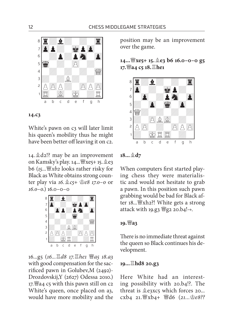



White's pawn on c3 will later limit his queen's mobility thus he might have been better off leaving it on c2.

14.  $d_2!$ ? may be an improvement on Kamsky's play.  $14...$   $\frac{10}{2}$  xe5+ 15.  $\frac{6}{2}$ e3 b6 (*15...xb2* looks rather risky for Black as White obtains strong counter play via *16.c5+ e8 17.0–0* or *16.0–0*.) 16.0–0–0



16...g5 (*16...d8 17.he1 a5 18.a3*  with good compensation for the sacrificed pawn in Golubev,  $M$  (2492)-Drozdovskij,Y (2627) Odessa 2010.) 17. a4 c5 with this pawn still on c2 White's queen, once placed on a3, would have more mobility and the

position may be an improvement over the game.

**14...xe5+ 15.e3 b6 16.0–0–0 g5**   $17.$  曾a4 c5 18. 且he1



**18...d7** 

When computers first started playing chess they were materialistic and would not hesitate to grab a pawn. In this position such pawn grabbing would be bad for Black after 18... | "xh2?! White gets a strong attack with 19.g3  $\frac{20}{2}$  20.b4! $\rightarrow$ .

#### **19.a3**

There is no immediate threat against the queen so Black continues his development.

#### **19...hd8 20.g3**

Here White had an interesting possibility with 20.b4!?. The threat is  $\triangle$ e3xc5 which forces 20... cxb4 21. 營xb4+ 營d6 (21... 金e8??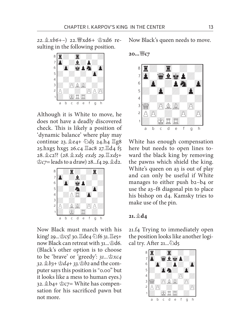22.  $\&$  xb6+-) 22. 曾xd6+ 空xd6 resulting in the following position.



Although it is White to move, he does not have a deadly discovered check. This is likely a position of 'dynamic balance' where play may continue 23.  $2e4 + 2d5$  24.h4  $\Xi$ g8 25.hxg5 hxg5 26.c4  $\Xi$ ac8 27. $\Xi$ d4 f5 28.c2!? (*28.xd5 exd5 29.xd5+*   $\hat{\mathcal{C}}$ *c7*= leads to a draw) 28...f4 29.  $\hat{\mathcal{C}}$ d2.



Now Black must march with his king! 29...曾c5! 30. $\Xi$ de4 ②f6 31. $\Xi$ e5+ now Black can retreat with  $31...$ \$d6. (Black's other option is to choose to be 'brave' or 'greedy': 31...  $\&x_4$ *32.b3+ d4+ 33.b2* and the computer says this position is "0.00" but it looks like a mess to human eyes.) 32. \$b4+ \$c7= White has compensation for his sacrificed pawn but not more.

Now Black's queen needs to move.

20...<sup>幽</sup>C7



White has enough compensation here but needs to open lines toward the black king by removing the pawns which shield the king. White's queen on a<sub>3</sub> is out of play and can only be useful if White manages to either push b2–b4 or use the a3–f8 diagonal pin to place his bishop on d4. Kamsky tries to make use of the pin.

#### $21. \& d_4$

21.f4 Trying to immediately open the position looks like another logical try. After  $21...\text{\textdegreeled{2}}$ d5

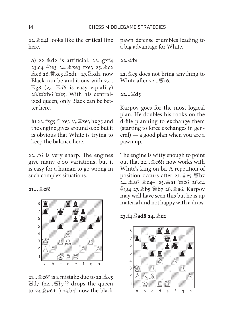22. $\&$ d4! looks like the critical line here.

**a**) 22.  $\&$  d2 is artificial: 22...gxf4 23.c4 (e3 24. 2xe3 fxe3 25. 2c2  $26.$   $\mathbb{Z}$ xe3  $\mathbb{Z}$ xd1+ 27. $\mathbb{Z}$ xd1, now Black can be ambitious with 27... g8 (*27...d8* is easy equality) 28.  $\mathbb{W}$ xh6  $\mathbb{W}$ es. With his centralized queen, only Black can be better here.

**b**) 22. fxg5  $\triangle$ xe3 23.  $\triangle$ xe3 hxg5 and the engine gives around 0.00 but it is obvious that White is trying to keep the balance here.

 $22...$  fo is very sharp. The engines give many 0.00 variations, but it is easy for a human to go wrong in such complex situations.

**21...e8!** 



 $21...$   $20$   $6$ ? is a mistake due to 22.  $2$   $e$ 5 d7 (*22...b7??* drops the queen to *23.a6+–*) 23.b4! now the black

pawn defense crumbles leading to a big advantage for White.

 $22.\Phi h1$ 

22.  $\triangle$  e5 does not bring anything to White after  $22...$  Fc6.

#### **22...**■d5

Karpov goes for the most logical plan. He doubles his rooks on the d-file planning to exchange them (starting to force exchanges in general) — a good plan when you are a pawn up.

The engine is witty enough to point out that  $22 \dots \& c6$ !? now works with White's king on b1. A repetition of position occurs after 23.  $2e5 \n\cong b7$  $24.246$   $26.4+25.241$  @  $26.64$ **@g4 27. b5 曾b7 28. ga6. Karpov** may well have seen this but he is up material and not happy with a draw.

**23.f4 ad8 24.c2** 

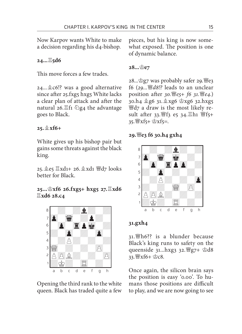Now Karpov wants White to make a decision regarding his d4-bishop.

**24...5d6** 

This move forces a few trades.

24... 2c6!? was a good alternative since after 25.fxg5 hxg5 White lacks a clear plan of attack and after the natural 26. $E$ fi  $E_{24}$  the advantage goes to Black.

**25.xf6+** 

White gives up his bishop pair but gains some threats against the black king.

25.e5 xd1+ 26.xd1 d7 looks better for Black.

### **25...xf6 26.fxg5+ hxg5 27.xd6 xd6 28.c4**



Opening the third rank to the white queen. Black has traded quite a few pieces, but his king is now somewhat exposed. The position is one of dynamic balance.

### **28...e7**

28... $\triangleq$ g7 was probably safer 29. eg f6 (*29...d8!?* leads to an unclear position after *30. 曾e5+ f6 31. 曾e4.)* 30.h4  $2g6$  31.  $2xg6$   $2.$ hxg5  $\mathbb{H}$ d<sub>7</sub> a draw is the most likely result after 33. 瞥f3 e5 34. Eh1 瞥f5+ 35. 暨xf5+ 含xf5=.

#### **29.e3 f6 30.h4 gxh4**



#### **31.gxh4**

 $31.$  the  $33.$  is a blunder because Black's king runs to safety on the queenside  $31...h$ xg $3$   $32.$   $\frac{100}{27} + \frac{1}{308}$ 33. 曾xf6+ 空c8.

Once again, the silicon brain says the position is easy '0.00'. To humans those positions are difficult to play, and we are now going to see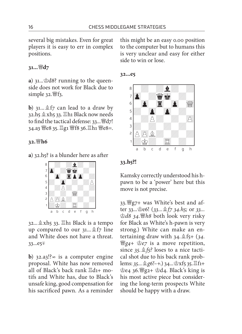several big mistakes. Even for great players it is easy to err in complex positions.

#### **31...d7**

a)  $31...$ \$d8? running to the queenside does not work for Black due to simple  $32.$  f3.

**b**)  $31...$   $\&$  f7 can lead to a draw by 32.h5  $\&$  xh5 33.  $\Xi$ h1 Black now needs to find the tactical defense:  $33...$   $\mathcal{H}d7!$ 34.a3 曾e8 35. 骂g1 曾f8 36. 骂h1 曾e8=.

#### **32.h6**

**a**) 32.h5? is a blunder here as after



32...xh5 33. h1 Black is a tempo up compared to our  $31...$   $\&$  f<sub>7</sub> line and White does not have a threat.  $33...e5 \pm$ 

**b**)  $32.93$ !? $\infty$  is a computer engine proposal. White has now removed all of Black's back rank  $\mathbb{E}$ d<sub>1+</sub> motifs and White has, due to Black's unsafe king, good compensation for his sacrificed pawn. As a reminder this might be an easy 0.00 position to the computer but to humans this is very unclear and easy for either side to win or lose.

**32...e5** 



#### **33.h5?!**

Kamsky correctly understood his hpawn to be a 'power' here but this move is not precise.

33.  $\mathbb{F}_{q7+}$  was White's best and after 33... <u>\$e6!</u> (33... \$f7 34.h5; or 33... *d8 34.h8* both look very risky for Black as White's h-pawn is very strong.) White can make an entertaining draw with  $34.\&$  f5+ ( $34.$  $\mathbb{F}_{q4}$  **e**z is a move repetition, since *35.f5?* loses to a nice tactical shot due to his back rank problems: 35...  $\&\,g6!-+$ .) 34...  $\&\,x5, 35. \square$ f1+  $e_4$  36.  $e_4$   $e_2$ +  $e_2$ d<sub>4</sub>. Black's king is his most active piece but considering the long-term prospects White should be happy with a draw.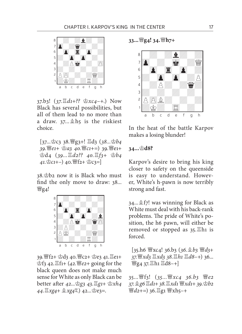

37.b3! (*37.d1+?? xc4*–+.) Now Black has several possibilities, but all of them lead to no more than a draw.  $37...$  \$h5 is the riskiest choice.

[37... 宫c3 38. *曾g3+!* 骂d3 (38... 宫b4  $39.$  曾e1+ <br />  $29.$  曾e1+ <br />  $29.$  曾e1+ d4 (*39...d2?? 40.f3+ b4 41.c1+–*) 40.f2+ c3=]

38.b2 now it is Black who must find the only move to draw: 38... **曾g4!** 



39. 瞥f2+ 空d3 40. 響c2+ 空e3 41. 三e1+ **空f3 42.**  $\Xi$ **f1+ (42.**  $\mathcal{L}$ **e2+ going for the** black queen does not make much sense for White as only Black can be better after 42... 宫g3 43. 骂g1+ 含xh4  $44.$   $\mathbb{Z}$ *xg4* +  $\&$  *xg4* = 7.  $\&$  2.  $\&$  e3 = .

**33...g4! 34.h7+** 



In the heat of the battle Karpov makes a losing blunder!

#### **34...d8?**

Karpov's desire to bring his king closer to safety on the queenside is easy to understand. However, White's h-pawn is now terribly strong and fast.

 $34...$  $57!$  was winning for Black as White must deal with his back-rank problems. The pride of White's position, the h6 pawn, will either be removed or stopped as 35.<sup>gh1</sup> is forced.

[35.h6 xc4! 36.b3 (*36.b3 d3+ 37.xd3 xd3 38.h1 d8–+*) 36... 營g<sub>4</sub> 37. gh1 gd8-+]

35...f3! (*35...xc4 36.b3 e2 37.g6 d1+ 38.xd1 xd1+ 39.b2 曹d2+=*) 36. g1 曾xh5-+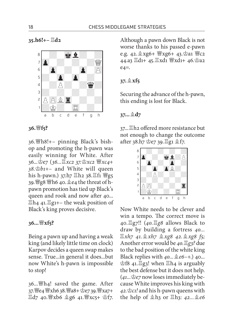**35.h6!+– d2** 



**36.f5?** 

 $36.$  Wh8!+– pinning Black's bishop and promoting the h-pawn was easily winning for White. After 36... 堂e7 (36... *xc2* 37. 空xc2 *豐xc4*+ *38.b1+–* and White will queen his h-pawn.)  $37.$ h7  $\Xi$ h2 38. $\Xi$ f1  $\mathcal{H}$ g5 39. 曾g8 曾h6 40. ge4 the threat of hpawn promotion has tied up Black's queen and rook and now after 40...  $\mathbb{Z}$ h<sub>4</sub> 41. $\mathbb{Z}$ g<sub>1</sub>+– the weak position of Black's king proves decisive.

#### **36...xf5?**

Being a pawn up and having a weak king (and likely little time on clock) Karpov decides a queen swap makes sense. True...in general it does...but now White's h-pawn is impossible to stop!

36...  $\mathbb{F}$ h4! saved the game. After 37. 曾e4 曾xh6 38. 曾a8+ 空e7 39. 曾xa7+  $\Xi$ d7 40.  $\mathscr{C}$ xb6  $\&$ g6 41.  $\mathscr{C}$ xc5+  $\&$ f7. Although a pawn down Black is not worse thanks to his passed e-pawn e.g.  $42.\&\text{xg6+} \text{Wxg6+} 43.\&\text{a1 Wc2}$ 44.a3 国d1+ 45. Exd1 曾xd1+ 46. 宫a2  $e_4 =$ .

#### **37.xf5**

Securing the advance of the h-pawn, this ending is lost for Black.

**37...d7** 

 $37...$   $\mathbb{Z}$  h2 offered more resistance but not enough to change the outcome after 38.h7  $2e$  39. $2g1 \& f7$ .



Now White needs to be clever and win a tempo. The correct move is 40.g7!! (*40.g8* allows Black to draw by building a fortress *40... xh7 41.xh7 xg8 42.xg8 f5;*  Another error would be *40.g3?* due to the bad position of the white king Black replies with *40...e6–+.*) 40...  $\hat{\mathfrak{B}}$ f8 41. $\Xi$ g3! when  $\Xi$ h4 is arguably the best defense but it does not help.  $(41...$   $\&e7$  now loses immediately because White improves his king with *42.c1!* and his h-pawn queens with the help of  $\triangle$ h<sub>3</sub> or  $\Xi$ h<sub>3</sub>: 42... $\triangle$ e6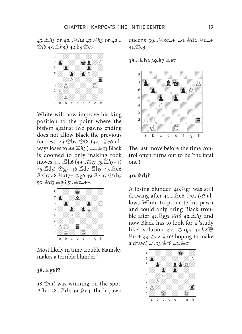*43.h3* or *42...h4 43.h3* or *42...*  $\triangle$ f8 43.  $\triangle$ h3.) 42.b3  $\triangle$ e7



White will now improve his king position to the point where the bishop against two pawns ending does not allow Black the previous fortress. 43.b2 f8 (*43...e6* always loses to *44.h3.*) 44.c3 Black is doomed to only making rook moves 44...h6 (*44...e7 45.h3*–+) 45. Ed3! \$g7 46. Ed7 Eh5 47. \$e6  $\mathbb{E}$ xh7 48. $\mathbb{E}$ xf7+ $\mathbb{E}$ g6 49. $\mathbb{E}$ xh7 $\mathbb{E}$ xh7 50. gd3 宫g6 51. 宫e4+-.



Most likely in time trouble Kamsky makes a terrible blunder!

#### **38.g6??**

 $38.\n\&c1!$  was winning on the spot. After 38... $\mathbb{E}$ d4 39.  $\mathbb{\hat{E}}$ e4! the h-pawn queens  $39...$  $\Xi$ xc4+ 40. $\dot{\Xi}$ d2  $\Xi$ d4+  $41.\n\&C3+-.$ 

**38...h2 39.h7 e7** 



The last move before the time control often turns out to be 'the fatal one'!

#### **40.d3?**

A losing blunder.  $40.\n\Xi$ g1 was still drawing after 40... e6 (40...f5?! allows White to promote his pawn and could only bring Black trouble aft er *41.g5! f6 42.h5* and now Black has to look for a 'study like' solution *42...xg5 43.h8 h1+ 44.c2 c6!* hoping to make a draw.) 41.b3 \$f8 42. c2